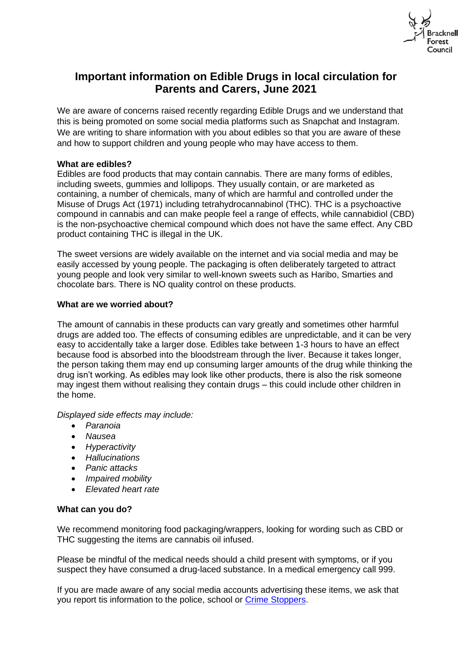

# **Important information on Edible Drugs in local circulation for Parents and Carers, June 2021**

We are aware of concerns raised recently regarding Edible Drugs and we understand that this is being promoted on some social media platforms such as Snapchat and Instagram. We are writing to share information with you about edibles so that you are aware of these and how to support children and young people who may have access to them.

## **What are edibles?**

Edibles are food products that may contain cannabis. There are many forms of edibles, including sweets, gummies and lollipops. They usually contain, or are marketed as containing, a number of chemicals, many of which are harmful and controlled under the Misuse of Drugs Act (1971) including tetrahydrocannabinol (THC). THC is a psychoactive compound in cannabis and can make people feel a range of effects, while cannabidiol (CBD) is the non-psychoactive chemical compound which does not have the same effect. Any CBD product containing THC is illegal in the UK.

The sweet versions are widely available on the internet and via social media and may be easily accessed by young people. The packaging is often deliberately targeted to attract young people and look very similar to well-known sweets such as Haribo, Smarties and chocolate bars. There is NO quality control on these products.

## **What are we worried about?**

The amount of cannabis in these products can vary greatly and sometimes other harmful drugs are added too. The effects of consuming edibles are unpredictable, and it can be very easy to accidentally take a larger dose. Edibles take between 1-3 hours to have an effect because food is absorbed into the bloodstream through the liver. Because it takes longer, the person taking them may end up consuming larger amounts of the drug while thinking the drug isn't working. As edibles may look like other products, there is also the risk someone may ingest them without realising they contain drugs – this could include other children in the home.

*Displayed side effects may include:*

- *Paranoia*
- *Nausea*
- *Hyperactivity*
- *Hallucinations*
- *Panic attacks*
- *Impaired mobility*
- *Elevated heart rate*

#### **What can you do?**

We recommend monitoring food packaging/wrappers, looking for wording such as CBD or THC suggesting the items are cannabis oil infused.

Please be mindful of the medical needs should a child present with symptoms, or if you suspect they have consumed a drug-laced substance. In a medical emergency call 999.

If you are made aware of any social media accounts advertising these items, we ask that you report tis information to the police, school or [Crime Stoppers.](https://crimestoppers-uk.org/)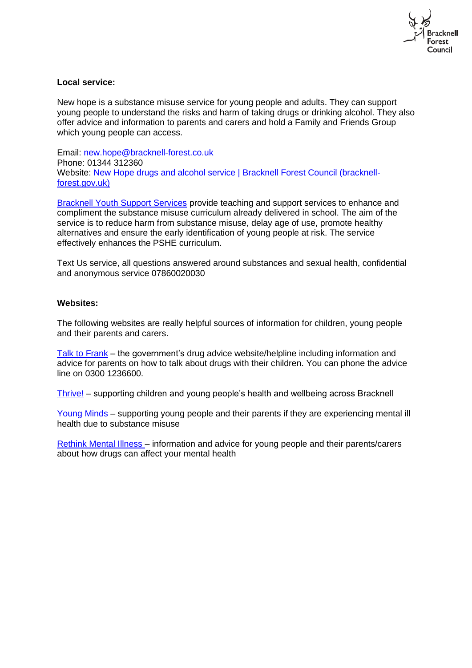

## **Local service:**

New hope is a substance misuse service for young people and adults. They can support young people to understand the risks and harm of taking drugs or drinking alcohol. They also offer advice and information to parents and carers and hold a Family and Friends Group which young people can access.

Email: [new.hope@bracknell-forest.co.uk](mailto:new.hope@bracknell-forest.co.uk) Phone: 01344 312360 Website: [New Hope drugs and alcohol service | Bracknell Forest Council \(bracknell](https://www.bracknell-forest.gov.uk/health-and-social-care/drugs-and-alcohol-advice/new-hope-drugs-and-alcohol-service)[forest.gov.uk\)](https://www.bracknell-forest.gov.uk/health-and-social-care/drugs-and-alcohol-advice/new-hope-drugs-and-alcohol-service)

[Bracknell Youth Support Services](https://can-do.bracknell-forest.gov.uk/Services/4907) provide teaching and support services to enhance and compliment the substance misuse curriculum already delivered in school. The aim of the service is to reduce harm from substance misuse, delay age of use, promote healthy alternatives and ensure the early identification of young people at risk. The service effectively enhances the PSHE curriculum.

Text Us service, all questions answered around substances and sexual health, confidential and anonymous service 07860020030

## **Websites:**

The following websites are really helpful sources of information for children, young people and their parents and carers.

[Talk to Frank](https://www.talktofrank.com/) – the government's drug advice website/helpline including information and advice for parents on how to talk about drugs with their children. You can phone the advice line on 0300 1236600.

[Thrive!](https://thrive.bracknell-forest.gov.uk/) – supporting children and young people's health and wellbeing across Bracknell

[Young Minds](https://youngminds.org.uk/about-us/) [–](https://youngminds.org.uk/about-us/) supporting young people and their parents if they are experiencing mental ill health due to substance misuse

[Rethink Mental Illness –](https://bfcouncil-my.sharepoint.com/personal/katherine_davies_bracknell-forest_gov_uk/Documents/Desktop/New%20Better%20Health%20Resources) information and advice for young people and their parents/carers about how drugs can affect your mental health